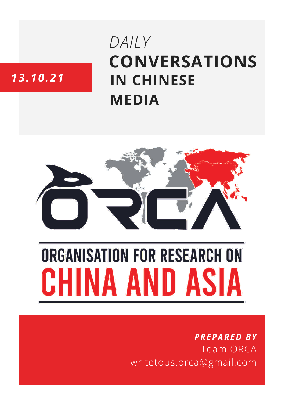# **CONVERSATIONS IN CHINESE MEDIA** *DAILY*

# *13.10.21*



# **ORGANISATION FOR RESEARCH ON** HINA AND ASIA

## *PREPARED BY* Team ORCA writetous.orca@gmail.com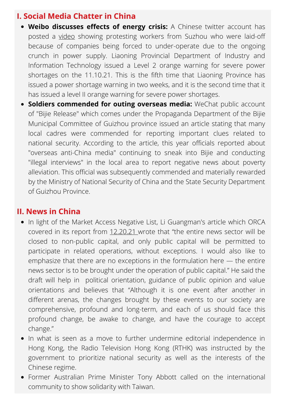#### **I. Social Media Chatter in China**

- **Weibo discusses effects of energy crisis:** A Chinese twitter account has posted a [video](https://twitter.com/wuwenhang/status/1447499391133126660) showing protesting workers from Suzhou who were laid-off because of companies being forced to under-operate due to the ongoing crunch in power supply. Liaoning Provincial Department of Industry and Information Technology issued a Level 2 orange warning for severe power shortages on the 11.10.21. This is the fifth time that Liaoning Province has issued a power shortage warning in two weeks, and it is the second time that it has issued a level II orange warning for severe power shortages.
- **Soldiers commended for outing overseas media:** WeChat public account of "Bijie Release" which comes under the Propaganda Department of the Bijie Municipal Committee of Guizhou province issued an article stating that many local cadres were commended for reporting important clues related to national security. According to the article, this year officials reported about "overseas anti-China media" continuing to sneak into Bijie and conducting "illegal interviews" in the local area to report negative news about poverty alleviation. This official was subsequently commended and materially rewarded by the Ministry of National Security of China and the State Security Department of Guizhou Province.

#### **II. News in China**

- In light of the Market Access Negative List, Li Guangman's article which ORCA covered in its report from [12.20.21](https://orcasia.org/wp-content/uploads/2021/10/12.10.21.pdf) wrote that "the entire news sector will be closed to non-public capital, and only public capital will be permitted to participate in related operations, without exceptions. I would also like to emphasize that there are no exceptions in the formulation here — the entire news sector is to be brought under the operation of public capital." He said the draft will help in political orientation, guidance of public opinion and value orientations and believes that "Although it is one event after another in different arenas, the changes brought by these events to our society are comprehensive, profound and long-term, and each of us should face this profound change, be awake to change, and have the courage to accept change."
- In what is seen as a move to further undermine editorial independence in Hong Kong, the Radio Television Hong Kong (RTHK) was instructed by the government to prioritize national security as well as the interests of the Chinese regime.
- Former Australian Prime Minister Tony Abbott called on the international community to show solidarity with Taiwan.